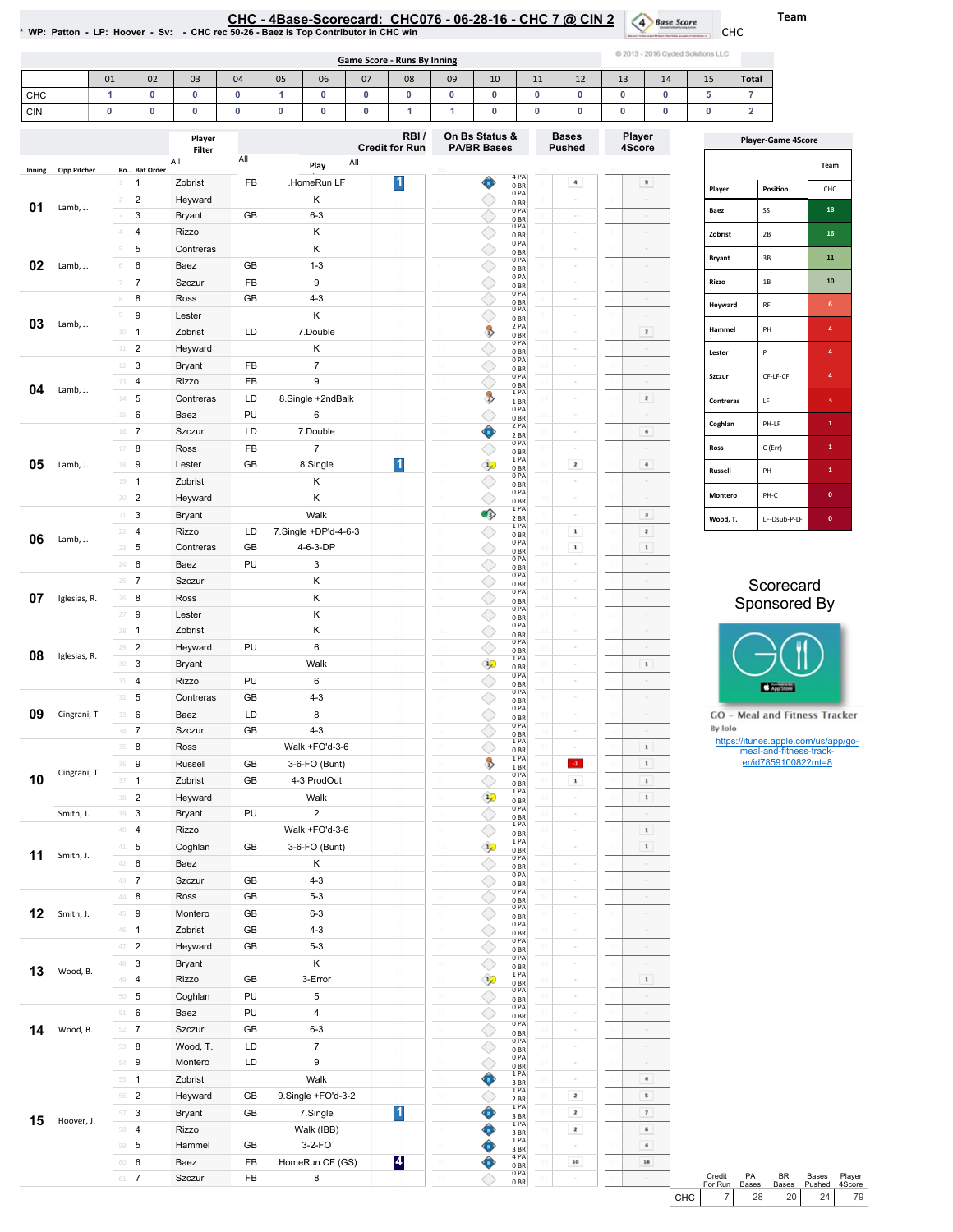# EHC-4Base-Scorecard: CHC076 - 06-28-16 - CHC 7 @ CIN 2<br>\* WP: Patton - LP: Hoover - Sv: - CHC rec 50-26 - Baez is Top Contributor in CHC win

Game Score - Runs By Inning

C 2013 - 2016 Cycled Solutions LLC

CHC

Team

| CHC        |                     | 01<br>$\overline{1}$       | 02<br>$\mathbf 0$           | 03<br>0                 | 04<br>0  | 05<br>1 | 06<br>0                      | 07<br>0 | 08<br>$\pmb{0}$               | 09<br>0 | 10<br>$\bf{0}$                       | 11<br>$\mathbf 0$                                                  | 12<br>$\pmb{0}$               | 13<br>$\mathbf 0$ | 14<br>0                    | 15<br>5       | <b>Total</b><br>$\overline{\mathcal{I}}$ |                                                                                                                                                                                                                                       |                                     |
|------------|---------------------|----------------------------|-----------------------------|-------------------------|----------|---------|------------------------------|---------|-------------------------------|---------|--------------------------------------|--------------------------------------------------------------------|-------------------------------|-------------------|----------------------------|---------------|------------------------------------------|---------------------------------------------------------------------------------------------------------------------------------------------------------------------------------------------------------------------------------------|-------------------------------------|
|            |                     | $\mathbf 0$                | $\mathbf 0$                 | 0                       | 0        | 0       | $\pmb{0}$                    | 0       | 1                             | 1       | $\mathbf 0$                          | $\mathbf 0$                                                        | 0                             | 0                 | 0                          | 0             | $\overline{2}$                           |                                                                                                                                                                                                                                       |                                     |
| <b>CIN</b> |                     |                            |                             |                         |          |         |                              |         |                               |         |                                      |                                                                    |                               |                   |                            |               |                                          |                                                                                                                                                                                                                                       |                                     |
|            |                     |                            |                             | Player<br>Filter<br>All | All      |         |                              | All     | RBI/<br><b>Credit for Run</b> |         | On Bs Status &<br><b>PA/BR Bases</b> |                                                                    | <b>Bases</b><br><b>Pushed</b> | Player<br>4Score  |                            |               |                                          |                                                                                                                                                                                                                                       |                                     |
| Inning     | <b>Opp Pitcher</b>  | 1                          | Ro Bat Order<br>$\mathbf 1$ | Zobrist                 | FB       |         | Play<br>.HomeRun LF          |         | $\vert$                       |         | ●                                    | 4 PA                                                               | $\bf{4}$                      |                   | $\bf{9}$                   |               |                                          |                                                                                                                                                                                                                                       | Team                                |
|            |                     | $\overline{2}$             | $\overline{2}$              | Heyward                 |          |         | Κ                            |         |                               |         |                                      | 0 <sub>BR</sub><br>0 PA                                            | $\alpha$                      |                   |                            | Player        |                                          |                                                                                                                                                                                                                                       | CHC                                 |
| 01         | Lamb, J.            | 3                          | 3                           | <b>Bryant</b>           | GB       |         | $6 - 3$                      |         |                               |         |                                      | 0 <sub>BR</sub><br>0 PA<br>0 <sub>BR</sub>                         | $\alpha$                      |                   |                            | Baez          |                                          |                                                                                                                                                                                                                                       | 18                                  |
|            |                     | 4                          | 4                           | Rizzo                   |          |         | Κ                            |         |                               |         | ◇                                    | 0 PA<br>0 <sub>BR</sub>                                            | $\alpha$                      |                   |                            | Zobrist       |                                          |                                                                                                                                                                                                                                       | 16                                  |
|            |                     | 5                          | 5                           | Contreras               |          |         | Κ                            |         |                               |         |                                      | 0 PA<br>0 <sub>BR</sub>                                            | $\alpha$                      |                   |                            | <b>Bryant</b> |                                          |                                                                                                                                                                                                                                       | ${\bf 11}$                          |
| 02         | Lamb, J.            | $\,6\,$                    | 6                           | Baez                    | GB       |         | $1 - 3$                      |         |                               |         |                                      | 0 PA<br>0 <sub>BR</sub><br>0 <sub>PA</sub>                         | $\sim$                        |                   |                            |               |                                          |                                                                                                                                                                                                                                       |                                     |
|            |                     | $\overline{7}$             | $\overline{7}$              | Szczur                  | FB       |         | 9                            |         |                               |         |                                      | 0 <sub>BR</sub><br>0 PA                                            | $\sim$                        |                   |                            | Rizzo         |                                          |                                                                                                                                                                                                                                       | 10                                  |
|            |                     | 8                          | 8<br>9                      | Ross                    | GB       |         | $4 - 3$<br>Κ                 |         |                               |         | ◇                                    | 0 <sub>BR</sub><br>0 <sub>PA</sub>                                 | $\sim$<br>$\sim$              |                   |                            | Heyward       |                                          |                                                                                                                                                                                                                                       | 6 <sup>1</sup>                      |
| 03         | Lamb, J.            | $\,$ $\,$ $\,$<br>$10 - 1$ |                             | Lester<br>Zobrist       | LD       |         | 7.Double                     |         |                               |         | $\rightarrow$                        | 0 <sub>BR</sub><br>2 PA                                            | $\sim$                        |                   | $\mathbf{z}$               | Hammel        |                                          |                                                                                                                                                                                                                                       | $\overline{a}$                      |
|            |                     | $11 - 2$                   |                             | Heyward                 |          |         | κ                            |         |                               |         |                                      | 0 <sub>BR</sub><br>0 PA<br>0 <sub>BR</sub>                         | $\alpha$                      |                   |                            |               |                                          |                                                                                                                                                                                                                                       | $\overline{a}$                      |
|            |                     | $12 - 3$                   |                             | <b>Bryant</b>           | FB       |         | $\overline{7}$               |         |                               |         |                                      | 0 PA<br>0 <sub>BR</sub>                                            | $\alpha$                      |                   |                            | Lester        |                                          |                                                                                                                                                                                                                                       |                                     |
|            |                     | 13 4                       |                             | Rizzo                   | FB       |         | 9                            |         |                               |         |                                      | 0PA<br>0 <sub>BR</sub>                                             | $\alpha$                      |                   |                            | Szczur        |                                          |                                                                                                                                                                                                                                       | $\overline{a}$                      |
| 04         | Lamb, J.            | $14 -$                     | 5                           | Contreras               | LD       |         | 8.Single +2ndBalk            |         |                               |         | $\rightarrow$                        | 1 PA<br>1BR                                                        | $\alpha$                      |                   | $\mathbf{z}$               | Contreras     |                                          |                                                                                                                                                                                                                                       | 3                                   |
|            |                     | $15 - 6$                   |                             | Baez                    | PU       |         | 6                            |         |                               |         |                                      | 0 PA<br>0 <sub>BR</sub><br>2 PA                                    | $\sim$                        |                   |                            | Coghlan       |                                          | Position<br>SS<br>2B<br>3B<br>$1B$<br>$\mathsf{RF}$<br>PH<br>$\mathsf{P}$<br>CF-LF-CF<br>$\mathsf{LF}% _{0}\left( t\right) \equiv\mathsf{LF}_{0}\left( t\right)$<br>PH-LF<br>C (Err)<br>PH<br>PH-C<br>LF-Dsub-P-LF<br>App Store<br>BR | $\mathbf{1}$                        |
|            |                     | $16$ 7                     |                             | Szczur                  | LD       |         | 7.Double                     |         |                               |         | ♦                                    | 2 BR<br>0PA                                                        | $\sim$                        |                   | $\,$ 4 $\,$                |               |                                          |                                                                                                                                                                                                                                       |                                     |
|            |                     | $17 - 8$                   |                             | Ross                    | FB       |         | $\overline{7}$               |         |                               |         |                                      | 0 <sub>BR</sub><br>1 PA                                            | $\alpha$                      |                   |                            | Ross          |                                          |                                                                                                                                                                                                                                       | $\mathbf{1}$                        |
| 05         | Lamb, J.            | 18 9<br>$19 - 1$           |                             | Lester<br>Zobrist       | GB       |         | 8.Single<br>Κ                |         | $\vert$ 1                     |         | $\mathcal{P}$<br>◇                   | 0 <sub>BR</sub><br>0 <sub>PA</sub>                                 | $\overline{z}$<br>$\sim$      |                   | $\bf{4}$                   | Russell       |                                          |                                                                                                                                                                                                                                       | $\mathbf{1}$                        |
|            |                     | $20 - 2$                   |                             | Heyward                 |          |         | Κ                            |         |                               |         | ◇                                    | 0 <sub>BR</sub><br>0 PA<br>0 <sub>BR</sub>                         | $\alpha$                      |                   |                            | Montero       |                                          |                                                                                                                                                                                                                                       | $\mathbf{0}^-$                      |
|            |                     | $21 - 3$                   |                             | <b>Bryant</b>           |          |         | Walk                         |         |                               |         | ഴ                                    | 1 PA<br>2 BR                                                       | $\alpha$                      |                   | $\bf{3}$                   | Wood, T.      |                                          |                                                                                                                                                                                                                                       | $\mathbf{0}^-$                      |
|            |                     | 22                         | $\overline{4}$              | Rizzo                   | LD       |         | 7.Single +DP'd-4-6-3         |         |                               |         |                                      | 1PA<br>0 <sub>BR</sub>                                             | $\mathbf{1}$                  |                   | $\mathbf{z}$               |               |                                          |                                                                                                                                                                                                                                       |                                     |
| 06         | Lamb, J.            | 23                         | 5                           | Contreras               | GB       |         | 4-6-3-DP                     |         |                               |         | ◇                                    | 0PA<br>0 <sub>BR</sub>                                             | $\,$ 1 $\,$                   |                   | $\,$ 1 $\,$                |               |                                          |                                                                                                                                                                                                                                       |                                     |
|            |                     | $24 - 6$                   |                             | Baez                    | PU       |         | 3                            |         |                               |         |                                      | 0PA<br>0 <sub>BR</sub><br>0 <sub>PA</sub>                          | $\alpha$                      |                   |                            |               |                                          |                                                                                                                                                                                                                                       |                                     |
|            |                     | $25 - 7$                   |                             | Szczur                  |          |         | Κ                            |         |                               |         |                                      | 0 <sub>BR</sub><br>0 <sub>PA</sub>                                 | $\sim$                        |                   |                            |               |                                          |                                                                                                                                                                                                                                       |                                     |
| 07         | Iglesias, R.        | 26 8                       |                             | Ross                    |          |         | Κ                            |         |                               |         |                                      | 0 <sub>BR</sub><br>0PA                                             | $\alpha$                      |                   |                            |               |                                          |                                                                                                                                                                                                                                       |                                     |
|            |                     | $27 - 9$<br>$28 - 1$       |                             | Lester<br>Zobrist       |          |         | Κ<br>К                       |         |                               |         | ◇<br>◇                               | 0 <sub>BR</sub><br>0 PA                                            | $\alpha$<br>$\alpha$          |                   |                            |               |                                          |                                                                                                                                                                                                                                       |                                     |
|            |                     | $29 - 2$                   |                             | Heyward                 | PU       |         | 6                            |         |                               |         | ◇                                    | $0BR$<br>$0PA$                                                     | $\alpha$                      |                   |                            |               |                                          |                                                                                                                                                                                                                                       |                                     |
| 08         | Iglesias, R.        | 30 <sup>3</sup>            |                             | <b>Bryant</b>           |          |         | Walk                         |         |                               |         | $\mathcal{P}$                        | 0 <sub>BR</sub><br>1 PA<br>0 <sub>BR</sub>                         | $\alpha$                      |                   | $\mathbf 1$                |               |                                          |                                                                                                                                                                                                                                       |                                     |
|            |                     | 31 4                       |                             | Rizzo                   | PU       |         | 6                            |         |                               |         |                                      | 0PA<br>0BR                                                         | $\sim$                        |                   |                            |               |                                          |                                                                                                                                                                                                                                       |                                     |
|            |                     | $32 - 5$                   |                             | Contreras               | GB       |         | $4 - 3$                      |         |                               |         | ◇                                    | 0 <sub>PA</sub><br>0 <sub>BR</sub>                                 | $\alpha$                      |                   |                            |               |                                          | Bases                                                                                                                                                                                                                                 |                                     |
| 09         | Cingrani, T.        | 33 6                       |                             | Baez                    | LD       |         | 8                            |         |                               |         |                                      | 0 <sub>PA</sub><br>0 <sub>BR</sub>                                 | $\alpha$                      |                   |                            |               |                                          |                                                                                                                                                                                                                                       |                                     |
|            |                     | $34 \t 7$                  |                             | Szczur                  | GB       |         | $4 - 3$                      |         |                               |         |                                      | 0 PA<br>0 BR<br>1 PA                                               | $\alpha$                      |                   |                            | By Iolo       |                                          |                                                                                                                                                                                                                                       |                                     |
|            |                     | 35 8                       |                             | Ross                    |          |         | Walk +FO'd-3-6               |         |                               |         |                                      | 0 <sub>BR</sub><br>1 PA                                            | $\sim$<br>$4^{\circ}$         |                   | $\mathbf 1$                |               |                                          |                                                                                                                                                                                                                                       |                                     |
| 10         | Cingrani, T.        | $37 - 1$                   | 9                           | Russell<br>Zobrist      | GB<br>GB |         | 3-6-FO (Bunt)<br>4-3 ProdOut |         |                               |         | $\rightarrow$<br>◇                   | $1 BR$<br>$0 PA$                                                   | $\mathbf{1}$                  |                   | $\mathbf 1$<br>$\mathbf 1$ |               |                                          |                                                                                                                                                                                                                                       |                                     |
|            |                     | 38 <sup>2</sup>            |                             | Heyward                 |          |         | Walk                         |         |                               |         | $\overline{12}$                      | 0 <sub>BR</sub><br>1 PA                                            | $\sim$                        |                   | $\,$ 1 $\,$                |               |                                          |                                                                                                                                                                                                                                       |                                     |
|            | Smith, J.           | 39 3                       |                             | Bryant                  | PU       |         | $\overline{2}$               |         |                               |         |                                      | 0 B R<br>0 PA<br>0BR                                               | $\alpha$                      |                   |                            |               |                                          |                                                                                                                                                                                                                                       |                                     |
|            |                     | $40 - 4$                   |                             | Rizzo                   |          |         | Walk +FO'd-3-6               |         |                               |         |                                      | 1 PA<br>0 <sub>BR</sub>                                            | $\alpha$                      |                   | $\mathbf 1$                |               |                                          |                                                                                                                                                                                                                                       |                                     |
| 11         | Smith, J.           | $41 - 5$                   |                             | Coghlan                 | GB       |         | 3-6-FO (Bunt)                |         |                               |         | $\mathbf{1}$                         | 1 PA<br>0BR                                                        | $\sim$                        |                   | $\mathbf 1$                |               |                                          |                                                                                                                                                                                                                                       |                                     |
|            |                     | 42 6                       |                             | Baez                    |          |         | Κ                            |         |                               |         |                                      | 0 PA<br>0BR<br>0PA                                                 | $\alpha$                      |                   |                            |               |                                          |                                                                                                                                                                                                                                       |                                     |
|            |                     | 43 7                       |                             | Szczur                  | GB       |         | $4 - 3$                      |         |                               |         |                                      | $\begin{array}{c} 0 \text{ BR} \\ 0 \text{ PA} \end{array}$        | $\alpha$                      |                   |                            |               |                                          |                                                                                                                                                                                                                                       |                                     |
|            |                     | $44$ 8                     |                             | Ross                    | GB       |         | $5 - 3$                      |         |                               |         |                                      | $\begin{array}{c} 0 \text{ BR} \\ 0 \text{ PA} \end{array}$        | $\alpha$                      |                   |                            |               |                                          |                                                                                                                                                                                                                                       |                                     |
|            | <b>12</b> Smith, J. | 45 9<br>46 1               |                             | Montero<br>Zobrist      | GB<br>GB |         | $6 - 3$<br>$4 - 3$           |         |                               |         |                                      | 0BR<br>0 PA                                                        | $\alpha$<br>$\alpha$          |                   |                            |               |                                          |                                                                                                                                                                                                                                       |                                     |
|            |                     | $47 - 2$                   |                             | Heyward                 | GB       |         | $5 - 3$                      |         |                               |         |                                      | 0BR<br>0 PA                                                        | $\alpha$                      |                   |                            |               |                                          |                                                                                                                                                                                                                                       |                                     |
|            |                     | 48 3                       |                             | Bryant                  |          |         | Κ                            |         |                               |         | ◇                                    | 0BR<br>0 PA<br>0BR                                                 | $\alpha$ .                    |                   |                            |               |                                          |                                                                                                                                                                                                                                       |                                     |
| 13         | Wood, B.            | 49 4                       |                             | Rizzo                   | GB       |         | 3-Error                      |         |                               |         | $\overline{1}$                       | 1PA                                                                | $\alpha$                      |                   | $\mathbf{1}$               |               |                                          |                                                                                                                                                                                                                                       |                                     |
|            |                     | $50-5$                     |                             | Coghlan                 | PU       |         | 5                            |         |                               |         | ◇                                    | $0BR$<br>$0PA$<br>0BR                                              | $\alpha$                      |                   |                            |               |                                          |                                                                                                                                                                                                                                       |                                     |
|            |                     | 51 6                       |                             | Baez                    | PU       |         | 4                            |         |                               |         | ◇                                    | 0 PA<br>0BR                                                        | $\alpha$                      |                   |                            |               |                                          |                                                                                                                                                                                                                                       |                                     |
| 14         | Wood, B.            | $52 \t 7$                  |                             | Szczur                  | GB       |         | $6 - 3$                      |         |                               |         |                                      | 0PA<br>$\begin{array}{c} 0 \text{ BR} \\ 0 \text{ PA} \end{array}$ | $\alpha$                      |                   |                            |               |                                          |                                                                                                                                                                                                                                       |                                     |
|            |                     | 53 8                       |                             | Wood, T.                | LD       |         | $\overline{7}$               |         |                               |         |                                      | 0BR<br>0 PA                                                        | $\alpha$                      |                   |                            |               |                                          |                                                                                                                                                                                                                                       |                                     |
|            |                     | $54 - 9$                   |                             | Montero                 | LD       |         | 9                            |         |                               |         |                                      | $\frac{0}{1}$ PA                                                   | $\sim$                        |                   |                            |               |                                          |                                                                                                                                                                                                                                       |                                     |
|            |                     | $55 - 1$<br>56 2           |                             | Zobrist<br>Heyward      | GB       |         | Walk<br>9.Single +FO'd-3-2   |         |                               |         |                                      | 3BR<br>1 PA                                                        | $\sim$<br>$\mathbf{z}$        |                   | $\bf{4}$<br>$\,$ s         |               |                                          |                                                                                                                                                                                                                                       |                                     |
|            |                     | $57 - 3$                   |                             | Bryant                  | GB       |         | 7.Single                     |         | $\vert$ 1                     |         | $\bullet$                            | 2 BR<br>1 PA                                                       | $\mathbf{z}$                  |                   | $\overline{\phantom{a}}$   |               |                                          |                                                                                                                                                                                                                                       |                                     |
| 15         | Hoover, J.          | 58 4                       |                             | Rizzo                   |          |         | Walk (IBB)                   |         |                               |         |                                      | 3BR<br>1PA                                                         | $\mathbf{z}$                  |                   | $\bf{6}$                   |               |                                          | <b>Player-Game 4Score</b><br>Scorecard<br>Sponsored By<br>GO - Meal and Fitness Tracker<br>https://itunes.apple.com/us/app/go-<br>meal-and-fitness-track-<br>er/id785910082?mt=8                                                      |                                     |
|            |                     | 59 5                       |                             | Hammel                  | GB       |         | $3-2-FO$                     |         |                               |         |                                      | 3BR<br>1 PA                                                        |                               |                   | $\,$ 4 $\,$                |               |                                          |                                                                                                                                                                                                                                       |                                     |
|            |                     | 60 6                       |                             | Baez                    | FB       |         | .HomeRun CF (GS)             |         | $\overline{4}$                |         |                                      | $\begin{array}{c} 3 BR \\ 4 PA \end{array}$                        | ${\bf 10}$                    |                   | $18\,$                     |               |                                          |                                                                                                                                                                                                                                       |                                     |
|            |                     | $61 - 7$                   |                             | Szczur                  | FB       |         | 8                            |         |                               |         |                                      | $\begin{array}{c} 0 \text{ BR} \\ 0 \text{ PA} \end{array}$<br>0B  |                               |                   |                            | Credit        | PA<br>For Run Bases                      |                                                                                                                                                                                                                                       | Player<br>Bases<br>Pushed<br>4Score |
|            |                     |                            |                             |                         |          |         |                              |         |                               |         |                                      |                                                                    |                               |                   |                            |               |                                          |                                                                                                                                                                                                                                       |                                     |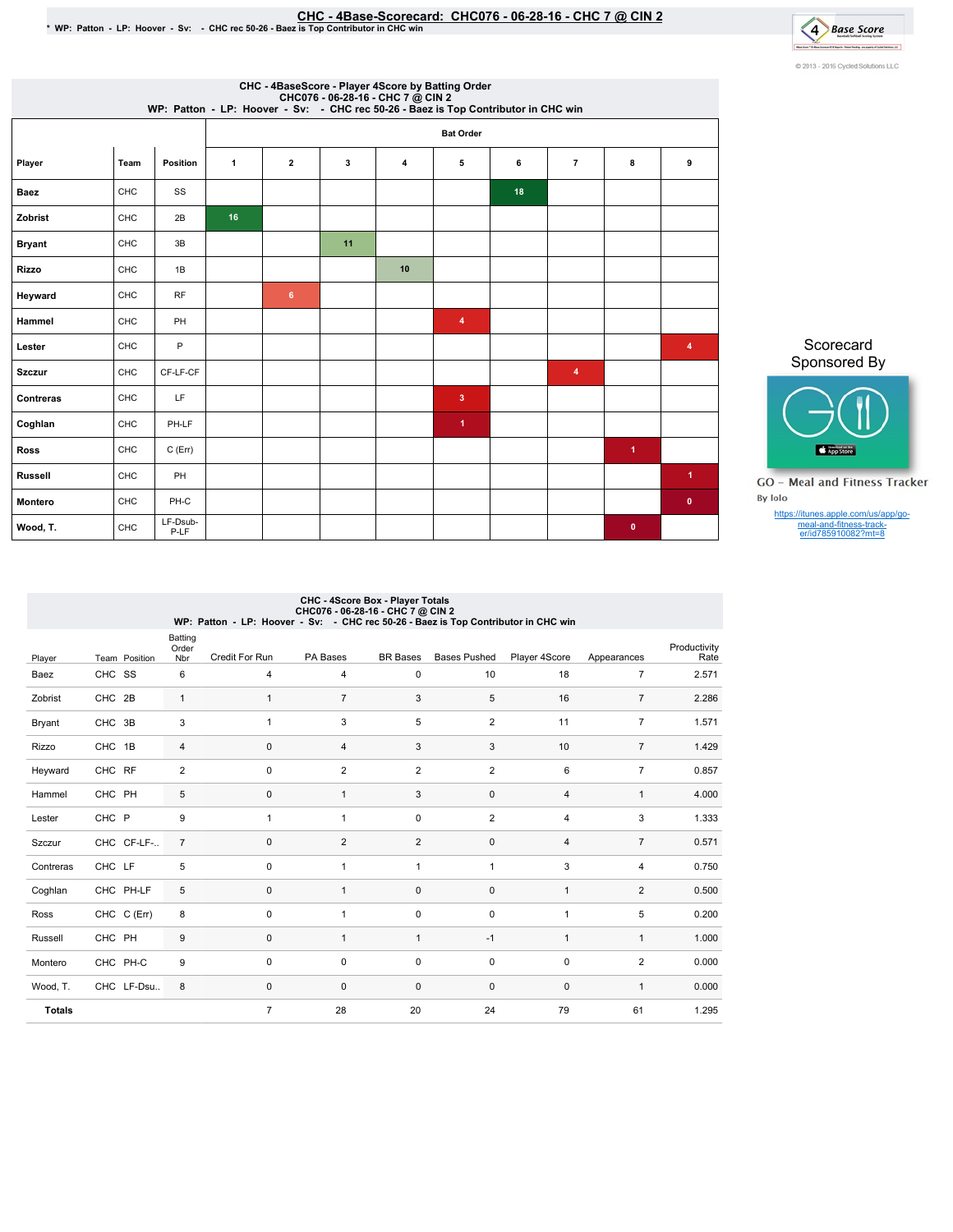# EHC-4Base-Scorecard: CHC076 - 06-28-16 - CHC 7 @ CIN 2<br>\* WP: Patton - LP: Hoover - Sv: - CHC rec 50-26 - Baez is Top Contributor in CHC win



|                |            |                  |                  |                |    |                         | CHC - 4BaseScore - Player 4Score by Batting Order<br>CHC076 - 06-28-16 - CHC 7 @ CIN 2<br>WP: Patton - LP: Hoover - Sv: - CHC rec 50-26 - Baez is Top Contributor in CHC win |    |                |                      |                      |  |  |
|----------------|------------|------------------|------------------|----------------|----|-------------------------|------------------------------------------------------------------------------------------------------------------------------------------------------------------------------|----|----------------|----------------------|----------------------|--|--|
|                |            |                  | <b>Bat Order</b> |                |    |                         |                                                                                                                                                                              |    |                |                      |                      |  |  |
| Player         | Team       | <b>Position</b>  | $\mathbf{1}$     | $\overline{2}$ | 3  | $\overline{\mathbf{4}}$ | 5                                                                                                                                                                            | 6  | $\overline{7}$ | 8                    | 9                    |  |  |
| Baez           | CHC        | SS               |                  |                |    |                         |                                                                                                                                                                              | 18 |                |                      |                      |  |  |
| Zobrist        | CHC        | 2B               | 16               |                |    |                         |                                                                                                                                                                              |    |                |                      |                      |  |  |
| <b>Bryant</b>  | CHC        | 3B               |                  |                | 11 |                         |                                                                                                                                                                              |    |                |                      |                      |  |  |
| <b>Rizzo</b>   | CHC        | 1B               |                  |                |    | 10                      |                                                                                                                                                                              |    |                |                      |                      |  |  |
| Heyward        | CHC        | RF               |                  | $6\phantom{a}$ |    |                         |                                                                                                                                                                              |    |                |                      |                      |  |  |
| Hammel         | <b>CHC</b> | PH               |                  |                |    |                         | $\overline{4}$                                                                                                                                                               |    |                |                      |                      |  |  |
| Lester         | CHC        | P                |                  |                |    |                         |                                                                                                                                                                              |    |                |                      | $\overline{\bf 4}$   |  |  |
| <b>Szczur</b>  | CHC        | CF-LF-CF         |                  |                |    |                         |                                                                                                                                                                              |    | 4              |                      |                      |  |  |
| Contreras      | CHC        | LF               |                  |                |    |                         | $\overline{\mathbf{3}}$                                                                                                                                                      |    |                |                      |                      |  |  |
| Coghlan        | CHC        | PH-LF            |                  |                |    |                         | $\blacktriangleleft$                                                                                                                                                         |    |                |                      |                      |  |  |
| <b>Ross</b>    | CHC        | $C$ (Err)        |                  |                |    |                         |                                                                                                                                                                              |    |                | $\blacktriangleleft$ |                      |  |  |
| <b>Russell</b> | CHC        | PH               |                  |                |    |                         |                                                                                                                                                                              |    |                |                      | $\blacktriangleleft$ |  |  |
| Montero        | CHC        | PH-C             |                  |                |    |                         |                                                                                                                                                                              |    |                |                      | $\bullet$            |  |  |
| Wood, T.       | CHC        | LF-Dsub-<br>P-LF |                  |                |    |                         |                                                                                                                                                                              |    |                | $\mathbf 0$          |                      |  |  |

Scorecard Sponsored By



**GO** - Meal and Fitness Tracker By Iolo

https://itunes.apple.com/us/app/go-meal-and-fitness-track-er/id785910082?mt=8

|               | CHC - 4Score Box - Player Totals<br>CHC076 - 06-28-16 - CHC 7 @ CIN 2<br>WP: Patton - LP: Hoover - Sv: - CHC rec 50-26 - Baez is Top Contributor in CHC win |                         |                |                |                 |                     |                |                |                      |  |  |  |  |  |
|---------------|-------------------------------------------------------------------------------------------------------------------------------------------------------------|-------------------------|----------------|----------------|-----------------|---------------------|----------------|----------------|----------------------|--|--|--|--|--|
| Player        | Team Position                                                                                                                                               | Batting<br>Order<br>Nbr | Credit For Run | PA Bases       | <b>BR</b> Bases | <b>Bases Pushed</b> | Player 4Score  | Appearances    | Productivity<br>Rate |  |  |  |  |  |
| Baez          | CHC SS                                                                                                                                                      | 6                       | 4              | 4              | 0               | 10                  | 18             | $\overline{7}$ | 2.571                |  |  |  |  |  |
| Zobrist       | CHC 2B                                                                                                                                                      | $\mathbf{1}$            | $\mathbf{1}$   | $\overline{7}$ | 3               | 5                   | 16             | $\overline{7}$ | 2.286                |  |  |  |  |  |
| <b>Bryant</b> | CHC 3B                                                                                                                                                      | 3                       | 1              | 3              | 5               | 2                   | 11             | $\overline{7}$ | 1.571                |  |  |  |  |  |
| <b>Rizzo</b>  | CHC 1B                                                                                                                                                      | $\overline{4}$          | $\mathbf 0$    | $\overline{4}$ | 3               | 3                   | 10             | $\overline{7}$ | 1.429                |  |  |  |  |  |
| Heyward       | CHC RF                                                                                                                                                      | $\overline{2}$          | $\mathbf 0$    | $\overline{2}$ | 2               | $\overline{2}$      | 6              | $\overline{7}$ | 0.857                |  |  |  |  |  |
| Hammel        | CHC PH                                                                                                                                                      | 5                       | $\mathbf 0$    | $\mathbf{1}$   | 3               | $\mathbf{0}$        | $\overline{4}$ | $\mathbf{1}$   | 4.000                |  |  |  |  |  |
| Lester        | CHC P                                                                                                                                                       | 9                       | $\mathbf{1}$   | 1              | $\Omega$        | 2                   | $\overline{4}$ | 3              | 1.333                |  |  |  |  |  |
| Szczur        | CHC CF-LF-                                                                                                                                                  | $\overline{7}$          | $\mathbf 0$    | $\overline{c}$ | 2               | $\mathbf{0}$        | $\overline{4}$ | $\overline{7}$ | 0.571                |  |  |  |  |  |
| Contreras     | CHC LF                                                                                                                                                      | 5                       | 0              | $\mathbf{1}$   | $\mathbf{1}$    | $\mathbf{1}$        | 3              | $\overline{4}$ | 0.750                |  |  |  |  |  |
| Coghlan       | CHC PH-LF                                                                                                                                                   | 5                       | 0              | $\mathbf{1}$   | 0               | $\mathbf 0$         | $\mathbf{1}$   | $\overline{2}$ | 0.500                |  |  |  |  |  |
| Ross          | CHC C (Err)                                                                                                                                                 | 8                       | 0              | $\mathbf{1}$   | $\mathbf 0$     | $\mathbf 0$         | $\mathbf{1}$   | 5              | 0.200                |  |  |  |  |  |
| Russell       | CHC PH                                                                                                                                                      | 9                       | $\mathbf 0$    | $\mathbf{1}$   | $\mathbf{1}$    | $-1$                | $\mathbf{1}$   | $\mathbf{1}$   | 1.000                |  |  |  |  |  |
| Montero       | CHC PH-C                                                                                                                                                    | 9                       | 0              | $\mathbf 0$    | $\mathbf 0$     | $\mathbf 0$         | $\mathbf 0$    | $\overline{2}$ | 0.000                |  |  |  |  |  |
| Wood, T.      | CHC LF-Dsu                                                                                                                                                  | 8                       | $\mathbf 0$    | $\Omega$       | $\mathbf 0$     | $\mathbf 0$         | $\mathbf 0$    | $\mathbf{1}$   | 0.000                |  |  |  |  |  |
| <b>Totals</b> |                                                                                                                                                             |                         | $\overline{7}$ | 28             | 20              | 24                  | 79             | 61             | 1.295                |  |  |  |  |  |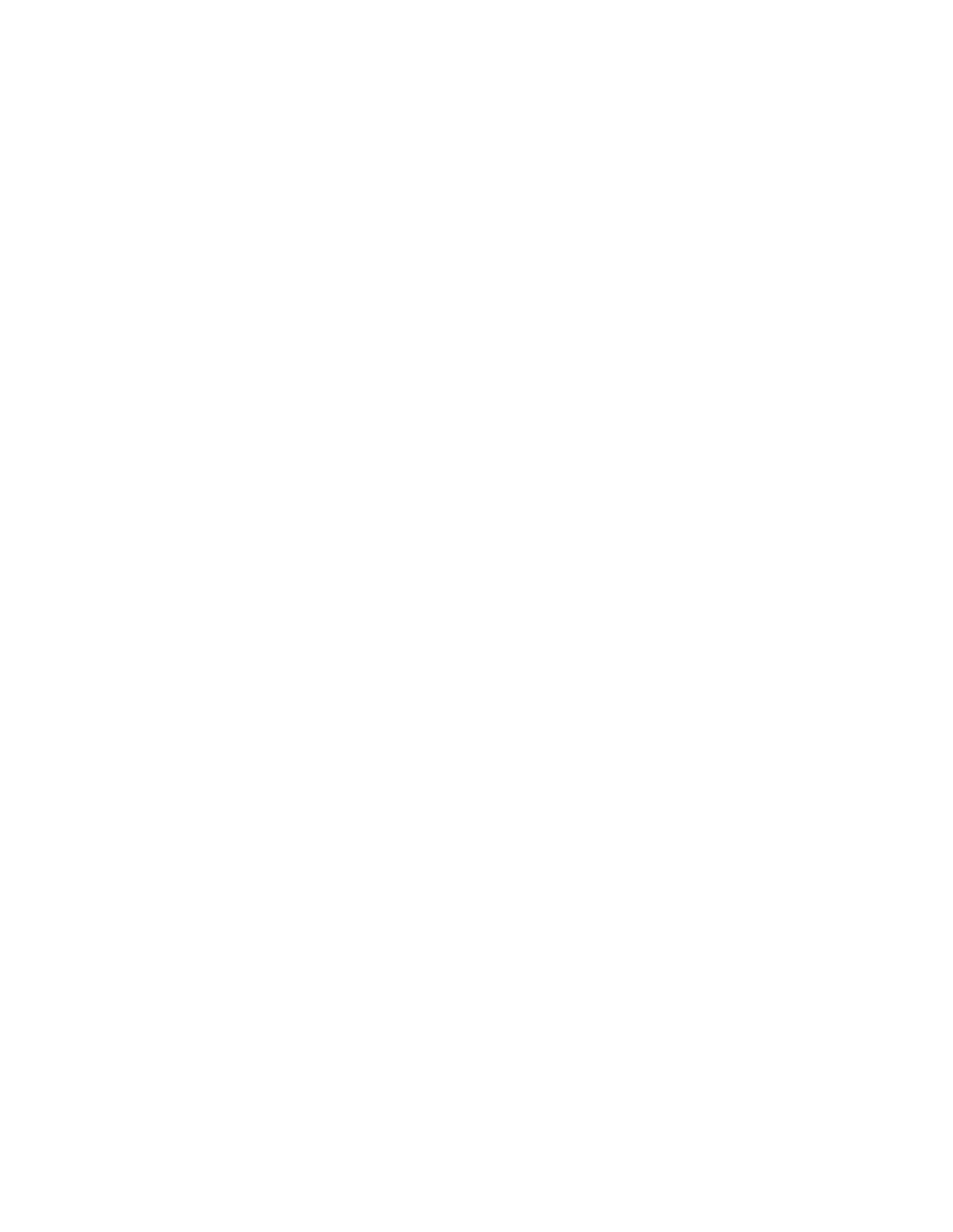| & + & %DVH6FRUH 300 NU 6FRUHE\%DWMQJ2UGHU<br>$8+8$ # 8,1<br>8+8 .<br>4+8 3DMMRQ /3 + RRYHU 6Y .8+8.UHF<br>%DH U 7RS & ROMMEXWRULQ & + & ZLQ |         |                              |           |  |  |  |  |  |  |  |  |  |  |
|---------------------------------------------------------------------------------------------------------------------------------------------|---------|------------------------------|-----------|--|--|--|--|--|--|--|--|--|--|
|                                                                                                                                             |         |                              | %DW2 UGHU |  |  |  |  |  |  |  |  |  |  |
| 300 HU                                                                                                                                      | 7HDP    | 3 RVIMRQ                     |           |  |  |  |  |  |  |  |  |  |  |
| %DH                                                                                                                                         | $8 + 8$ | 66                           |           |  |  |  |  |  |  |  |  |  |  |
| $=$ REULWV                                                                                                                                  | $8 + 8$ | $\%$                         |           |  |  |  |  |  |  |  |  |  |  |
| %U DQW                                                                                                                                      | $8 + 8$ | %                            |           |  |  |  |  |  |  |  |  |  |  |
| $5$ $\downarrow$ ] R                                                                                                                        | $8 + 8$ | $\%$                         |           |  |  |  |  |  |  |  |  |  |  |
| $+HZDUS$                                                                                                                                    | $8 + 8$ | 5)                           |           |  |  |  |  |  |  |  |  |  |  |
| $+DP$ PHO                                                                                                                                   | $8 + 8$ | $3+$                         |           |  |  |  |  |  |  |  |  |  |  |
| / HVMU                                                                                                                                      | $8 + 8$ | 3                            |           |  |  |  |  |  |  |  |  |  |  |
| 6] FJ XU                                                                                                                                    | $8 + 8$ | $8)$ () $8)$                 |           |  |  |  |  |  |  |  |  |  |  |
| & ROWHLDV                                                                                                                                   | $8 + 8$ | $\left( \frac{1}{2} \right)$ |           |  |  |  |  |  |  |  |  |  |  |
| & RJ KODQ                                                                                                                                   | $8 + 8$ | $3+7$                        |           |  |  |  |  |  |  |  |  |  |  |
| 5 RW                                                                                                                                        | $8 + 8$ | & (W)                        |           |  |  |  |  |  |  |  |  |  |  |
| 5 XVVHO                                                                                                                                     | $8 + 8$ | $3+$                         |           |  |  |  |  |  |  |  |  |  |  |
| 0 RQMMUR                                                                                                                                    | $8 + 8$ | $3 + 8$                      |           |  |  |  |  |  |  |  |  |  |  |
| : RRG 7                                                                                                                                     | $8 + 8$ | $\prime$ ) ' VXE<br>3/       |           |  |  |  |  |  |  |  |  |  |  |



<u>KWOSY WACHYDSSON FRP XYDSSJR</u><br>PHDODOGILWOHNYWOFN<br>HULG "PW"

|                 |                   |                    |                          | $8 + 8$<br>$8 + 8$ | 6 FRUH%R[ 300\HU7RWDOV<br>$8+8$ # $8,1$ |                                  |                                     |              |             |
|-----------------|-------------------|--------------------|--------------------------|--------------------|-----------------------------------------|----------------------------------|-------------------------------------|--------------|-------------|
|                 |                   |                    | : 3 3DWRQ / 3 + RRYHU 6Y | $8+8$ UF           |                                         |                                  | %DH IV 7RS & ROMMEXWRULQ & + & Z LQ |              |             |
|                 |                   | %DWKQJ<br>$2$ LGHU |                          |                    |                                         |                                  |                                     |              | 3 URGXFWYUW |
| 30 NU           | 7HDP 3RVMRQ       | 1 EU               | & UHGLV) RU5 XQ          | 3\$ %DMHV          |                                         | %5 %DVHV %DVHV3XVKHG 300 HU6FRUH |                                     | \$SSHDUDGFHV | 5 DM        |
| %DH             | $&+8.66$          |                    |                          |                    |                                         |                                  |                                     |              |             |
| $=$ REUMV       | $& 8 + 8$ %       |                    |                          |                    |                                         |                                  |                                     |              |             |
| %UDQW           | $& 8 + 8$ %       |                    |                          |                    |                                         |                                  |                                     |              |             |
| $5 \text{ H}$ R | $8 + 8$ %         |                    |                          |                    |                                         |                                  |                                     |              |             |
| $+HZDIB$        | $8+8$ 5)          |                    |                          |                    |                                         |                                  |                                     |              |             |
| $+DPPHO$        | $&+8$ 3+          |                    |                          |                    |                                         |                                  |                                     |              |             |
| / HMMU          | $8 + 8$ 3         |                    |                          |                    |                                         |                                  |                                     |              |             |
| 6] FJ XU        | $8+8$ $8)$ /)     |                    |                          |                    |                                         |                                  |                                     |              |             |
| & ROWHUDV       | $8+8$ ()          |                    |                          |                    |                                         |                                  |                                     |              |             |
| & RJKODQ        | $8+8$ 3+ /)       |                    |                          |                    |                                         |                                  |                                     |              |             |
| 5 RW            | $8+8$ & $(W)$     |                    |                          |                    |                                         |                                  |                                     |              |             |
| 5 XVVHO         | $8 + 8$ 3+        |                    |                          |                    |                                         |                                  |                                     |              |             |
| 0 RQMUR         | $& 8 + 8 & 3 + 8$ |                    |                          |                    |                                         |                                  |                                     |              |             |
| $:$ RRG $7$     | $8+8$ /) ' VX     |                    |                          |                    |                                         |                                  |                                     |              |             |
| 7RWDOV          |                   |                    |                          |                    |                                         |                                  |                                     |              |             |
|                 |                   |                    |                          |                    |                                         |                                  |                                     |              |             |

 $8+8$  #  $8,1$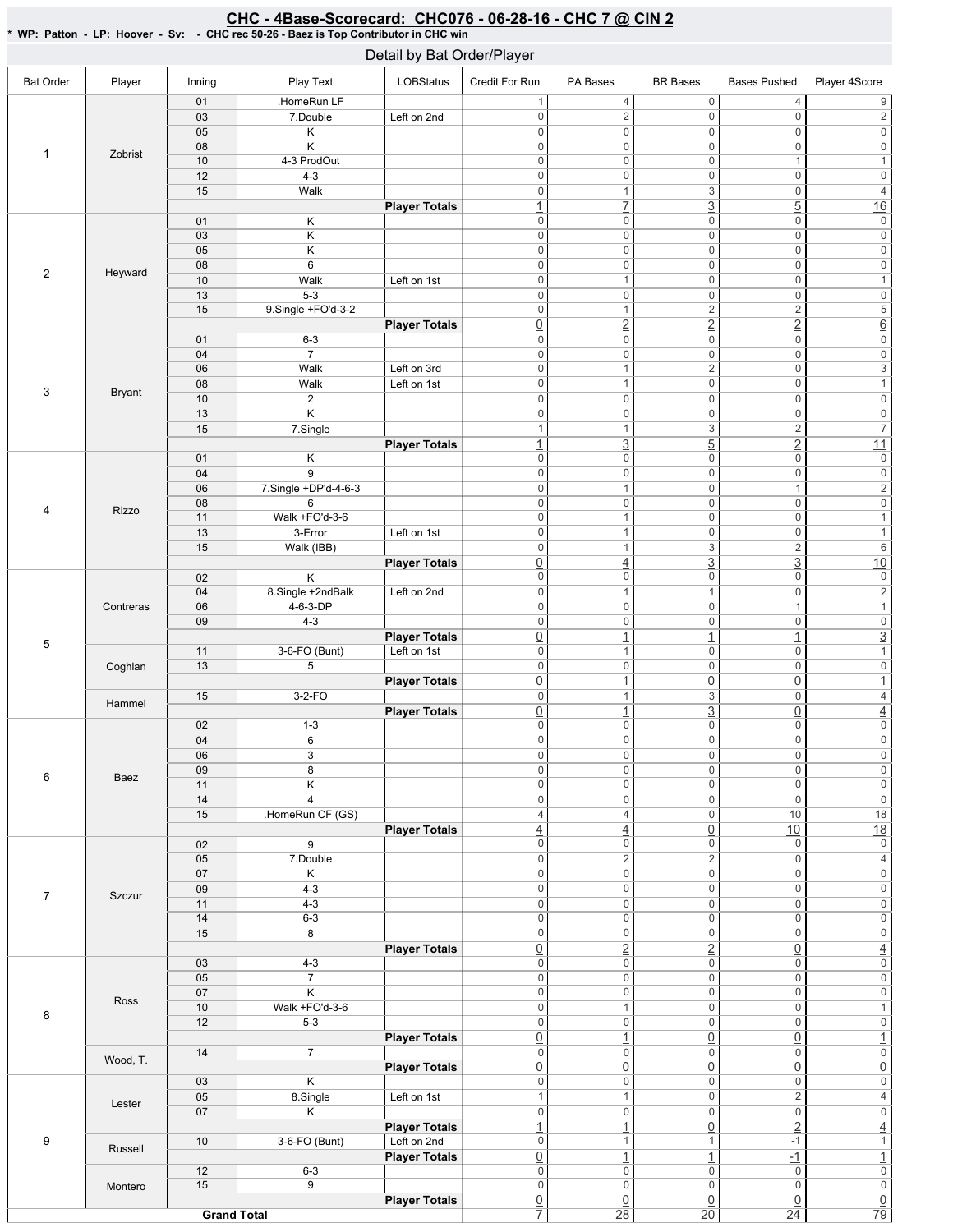#### Bat Order | Player | Inning | PlayText | LOBStatus Credit For Run PA Bases BR Bases Bases Pushed Player 4Score 1 Zobrist 01 .HomeRun LF 03 7.Double Left on 2nd 05 K 08 K 10 4-3 ProdOut 12 4-3 15 Walk **Player Totals** 2 Heyward 01 K 03 K 05 K 08 6 10 Walk Left on 1st 13 5-3 15 9.Single+FO'd-3-2 **Player Totals** 3 Bryant 01 6-3 04 7 06 | Walk Left on 3rd 08 | Walk Left on 1st 10 2 13 K 15 7.Single **Player Totals** 4 Rizzo 01 K 04 9 06 7.Single +DP'd-4-6-3 08 6 11 Walk+FO'd-3-6 13 | 3-Error | Left on 1st 15 Walk (IBB) **Player Totals** 5 Contreras 02 K 04 8.Single +2ndBalk Left on 2nd 06 4-6-3-DP 09 4-3 **Player Totals** Coghlan 11 3-6-FO(Bunt) Lefton1st 13 5 **Player Totals** Hammel 15 3-2-FO **Player Totals** 6 Baez 02 1-3 04 6 06 3 09 8 11 K 14 4 15 .HomeRun CF (GS) **Player Totals** 7 | Szczur 02 9 05 7.Double 07 K 09 4-3 11 4-3 14 6-3 15 8 **Player Totals** 8 Ross 03 4-3 05 7 07 K 10 Walk+FO'd-3-6 12 5-3 **Player Totals** Wood, T. 14 7 **Player Totals** 9 Lester 03 K 05 8.Single Left on 1st 07 K **Player Totals** Russell 10 3-6-FO (Bunt) Left on 2nd **Player Totals** Montero 12 6-3 15 9 **Player Totals Grand Total** 1 4 0 4 9 0 0 2 0 2 0 0 0 0 0 0 0 0 0 0 0 0  $0 \qquad 0 \qquad 0 \qquad 1 \qquad 1$ 0 0 0 0 0 0 0 1 3 0 4 1  $\left| \frac{1}{2} \right|$   $\left| \frac{3}{2} \right|$   $\left| \frac{5}{2} \right|$   $\left| \frac{16}{2} \right|$ 0 0 0 0 0 0 0 0 0 0 0 0 0 0 0 0 0 0 0 0 0 0 0 0 0 0 1 0 1 0 0 0 0 0 0 0 1 2 2 5 0 2 2 2 6 0 0 0 0 0 0 0 0 0 0 0 0 0 1 2 0 3 0 0 1 0 1 0 0 0 0 0 0 0 0 0 0 0 0 1 1 3 2 7 1 3 5 2 11 0 0 0 0 0 0 0 0 0 0 0 0 0 1 0 1 2 0 0 0 0 0 0 0 0 0 1 0 0 0 1 0 1 3 2 6  $\boxed{0}$  4  $\boxed{3}$   $\boxed{3}$   $\boxed{10}$ 0 0 0 0 0 0 0 1 1 0 2  $0 \qquad 0 \qquad 0 \qquad 1 \qquad 1$ 0 0 0 0 0 0  $\boxed{0}$  1  $\boxed{1}$   $\boxed{1}$   $\boxed{3}$ 0 0 1 0 1 0 0 0 0 0 0  $\boxed{0}$  1  $\boxed{0}$   $\boxed{0}$  1 0 1 3 0 4 0 1 3 0 4 0 0 0 0 0 0 0 0 0 0 0 0 0 0 0 0 0 0 0 0 0 0 0 0 0 0 0 0 0 0 0 0 0 0 0 0 4 4 0 10 18  $\frac{4}{9}$   $\frac{10}{10}$   $\frac{18}{10}$ 0 0 0 0 0 0  $0 \qquad \qquad 2 \qquad \qquad 2 \qquad \qquad 0 \qquad \qquad 4$ 0 0 0 0 0 0 0 0 0 0 0 0 0 0 0 0 0 0 0 0 0 0 0 0 0 0 0 0 0 0 0 2 2 0 4 0 0 0 0 0 0 0 0 0 0 0 0 0 0 0 0 0 0 0 0 1 0 1 0 0 0 0 0 0  $\Omega$  1 0 0  $\Omega$  1 0 0 0 0 0 0 0 0 0 0 0 0 0 0 0 0 0 1 1 0 2 4 0 0 0 0 0 0 1 1 0 2 4 0 1  $1$  1  $-1$  1  $\boxed{0}$   $\boxed{1}$   $\boxed{1}$   $\boxed{1}$   $\boxed{1}$ 0 0 0 0 0 0 0 0 0 0 0 0 0 0 0 0 0 7 28 20 24 79 Detail by Bat Order/Player

### CHC - 4Base-Scorecard: CHC076 - 06-28-16 - CHC 7 @ CIN 2

\*WP:Patton-LP:Hoover-Sv: -CHCrec50-26-BaezisTopContributorinCHCwin